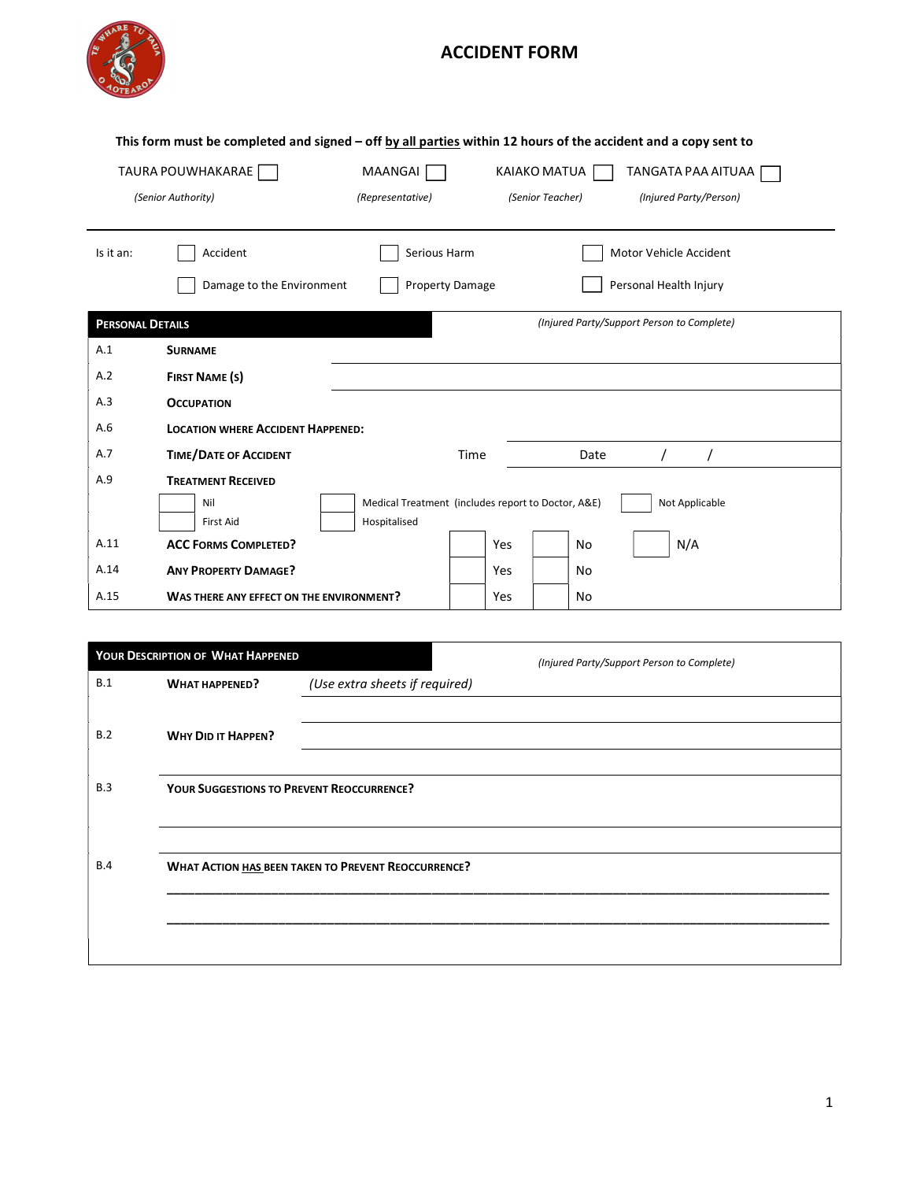

## ACCIDENT FORM

| This form must be completed and signed - off by all parties within 12 hours of the accident and a copy sent to |                                                                      |                                                    |      |     |                  |                                            |                        |                        |  |
|----------------------------------------------------------------------------------------------------------------|----------------------------------------------------------------------|----------------------------------------------------|------|-----|------------------|--------------------------------------------|------------------------|------------------------|--|
|                                                                                                                | TAURA POUWHAKARAE<br>MAANGAI<br>KAIAKO MATUA<br>TANGATA PAA AITUAA [ |                                                    |      |     |                  |                                            |                        |                        |  |
| (Senior Authority)                                                                                             |                                                                      | (Representative)                                   |      |     | (Senior Teacher) |                                            |                        | (Injured Party/Person) |  |
|                                                                                                                |                                                                      |                                                    |      |     |                  |                                            |                        |                        |  |
| Is it an:                                                                                                      | Accident                                                             | Serious Harm                                       |      |     |                  |                                            |                        | Motor Vehicle Accident |  |
|                                                                                                                | Damage to the Environment                                            | Property Damage                                    |      |     |                  |                                            | Personal Health Injury |                        |  |
| <b>PERSONAL DETAILS</b>                                                                                        |                                                                      |                                                    |      |     |                  | (Injured Party/Support Person to Complete) |                        |                        |  |
| A.1                                                                                                            | <b>SURNAME</b>                                                       |                                                    |      |     |                  |                                            |                        |                        |  |
| A.2                                                                                                            | <b>FIRST NAME (S)</b>                                                |                                                    |      |     |                  |                                            |                        |                        |  |
| A.3                                                                                                            | <b>OCCUPATION</b>                                                    |                                                    |      |     |                  |                                            |                        |                        |  |
| A.6                                                                                                            | <b>LOCATION WHERE ACCIDENT HAPPENED:</b>                             |                                                    |      |     |                  |                                            |                        |                        |  |
| A.7                                                                                                            | <b>TIME/DATE OF ACCIDENT</b>                                         |                                                    | Time |     |                  | Date                                       |                        |                        |  |
| A.9                                                                                                            | <b>TREATMENT RECEIVED</b>                                            |                                                    |      |     |                  |                                            |                        |                        |  |
|                                                                                                                | Nil                                                                  | Medical Treatment (includes report to Doctor, A&E) |      |     |                  |                                            |                        | Not Applicable         |  |
|                                                                                                                | <b>First Aid</b>                                                     | Hospitalised                                       |      |     |                  |                                            |                        |                        |  |
| A.11                                                                                                           | <b>ACC FORMS COMPLETED?</b>                                          |                                                    |      | Yes |                  | No                                         |                        | N/A                    |  |
| A.14                                                                                                           | <b>ANY PROPERTY DAMAGE?</b>                                          |                                                    |      | Yes |                  | No                                         |                        |                        |  |
| A.15                                                                                                           | WAS THERE ANY EFFECT ON THE ENVIRONMENT?                             |                                                    |      | Yes |                  | No                                         |                        |                        |  |

|            | YOUR DESCRIPTION OF WHAT HAPPENED                |                                                            | (Injured Party/Support Person to Complete) |
|------------|--------------------------------------------------|------------------------------------------------------------|--------------------------------------------|
| B.1        | <b>WHAT HAPPENED?</b>                            | (Use extra sheets if required)                             |                                            |
|            |                                                  |                                                            |                                            |
| B.2        | <b>WHY DID IT HAPPEN?</b>                        |                                                            |                                            |
|            |                                                  |                                                            |                                            |
| B.3        | <b>YOUR SUGGESTIONS TO PREVENT REOCCURRENCE?</b> |                                                            |                                            |
|            |                                                  |                                                            |                                            |
|            |                                                  |                                                            |                                            |
| <b>B.4</b> |                                                  | <b>WHAT ACTION HAS BEEN TAKEN TO PREVENT REOCCURRENCE?</b> |                                            |
|            |                                                  |                                                            |                                            |
|            |                                                  |                                                            |                                            |
|            |                                                  |                                                            |                                            |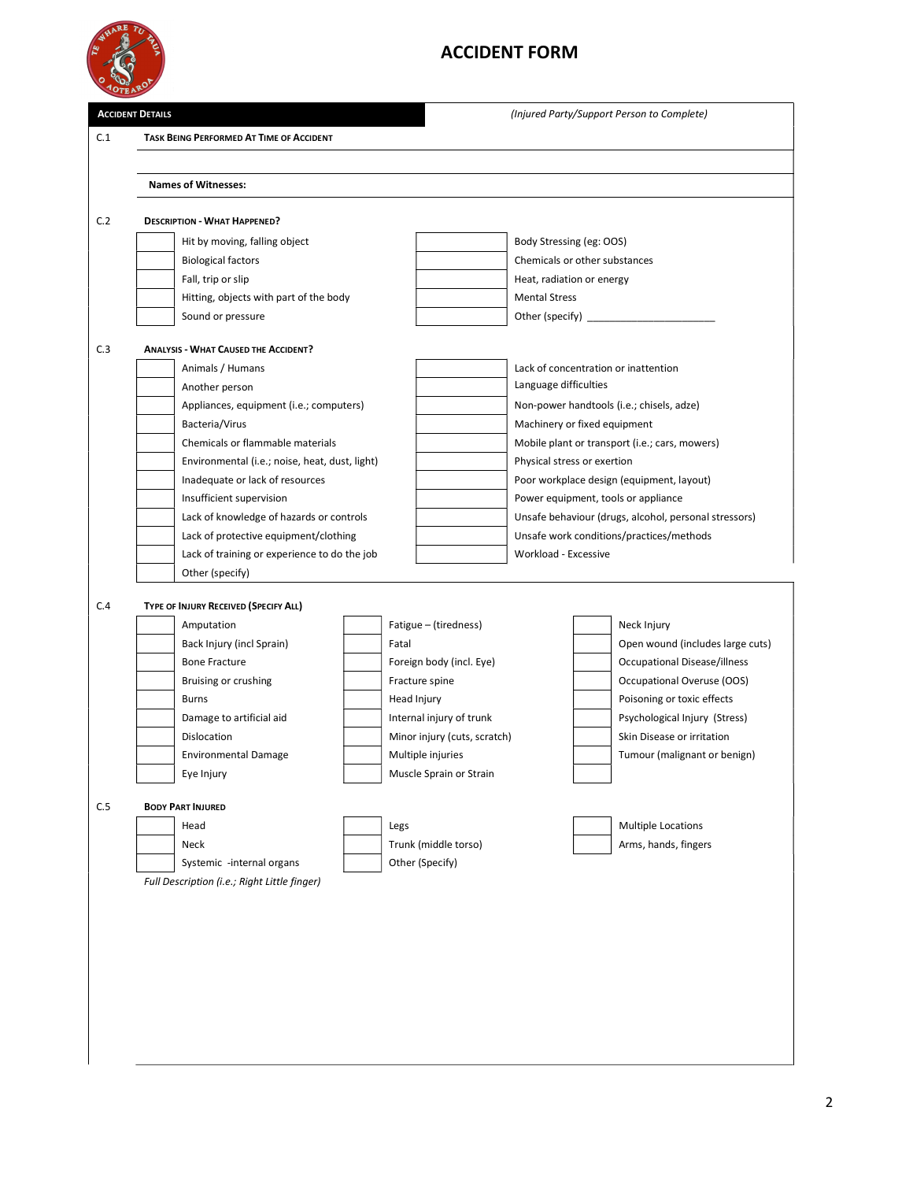

## ACCIDENT FORM

|         | <b>ACCIDENT DETAILS</b>                            |  |                                          |                                                       | (Injured Party/Support Person to Complete)     |
|---------|----------------------------------------------------|--|------------------------------------------|-------------------------------------------------------|------------------------------------------------|
|         |                                                    |  |                                          |                                                       |                                                |
| C.1     | <b>TASK BEING PERFORMED AT TIME OF ACCIDENT</b>    |  |                                          |                                                       |                                                |
|         |                                                    |  |                                          |                                                       |                                                |
|         | <b>Names of Witnesses:</b>                         |  |                                          |                                                       |                                                |
| C.2     | <b>DESCRIPTION - WHAT HAPPENED?</b>                |  |                                          |                                                       |                                                |
|         | Hit by moving, falling object                      |  |                                          | Body Stressing (eg: OOS)                              |                                                |
|         | <b>Biological factors</b>                          |  |                                          | Chemicals or other substances                         |                                                |
|         | Fall, trip or slip                                 |  |                                          | Heat, radiation or energy                             |                                                |
|         | Hitting, objects with part of the body             |  |                                          | <b>Mental Stress</b>                                  |                                                |
|         | Sound or pressure                                  |  |                                          |                                                       |                                                |
|         |                                                    |  |                                          |                                                       |                                                |
| C.3     | <b>ANALYSIS - WHAT CAUSED THE ACCIDENT?</b>        |  |                                          |                                                       |                                                |
|         | Animals / Humans                                   |  |                                          |                                                       | Lack of concentration or inattention           |
|         | Another person                                     |  |                                          | Language difficulties                                 |                                                |
|         | Appliances, equipment (i.e.; computers)            |  |                                          |                                                       | Non-power handtools (i.e.; chisels, adze)      |
|         | Bacteria/Virus<br>Chemicals or flammable materials |  |                                          | Machinery or fixed equipment                          | Mobile plant or transport (i.e.; cars, mowers) |
|         | Environmental (i.e.; noise, heat, dust, light)     |  |                                          | Physical stress or exertion                           |                                                |
|         | Inadequate or lack of resources                    |  |                                          |                                                       | Poor workplace design (equipment, layout)      |
|         | Insufficient supervision                           |  |                                          |                                                       | Power equipment, tools or appliance            |
|         | Lack of knowledge of hazards or controls           |  |                                          | Unsafe behaviour (drugs, alcohol, personal stressors) |                                                |
|         | Lack of protective equipment/clothing              |  | Unsafe work conditions/practices/methods |                                                       |                                                |
|         | Lack of training or experience to do the job       |  | Workload - Excessive                     |                                                       |                                                |
|         | Other (specify)                                    |  |                                          |                                                       |                                                |
| C.4     | TYPE OF INJURY RECEIVED (SPECIFY ALL)              |  |                                          |                                                       |                                                |
|         | Amputation                                         |  | Fatigue - (tiredness)                    |                                                       | Neck Injury                                    |
|         | Back Injury (incl Sprain)                          |  | Fatal                                    |                                                       | Open wound (includes large cuts)               |
|         | <b>Bone Fracture</b>                               |  | Foreign body (incl. Eye)                 |                                                       | Occupational Disease/illness                   |
|         | Bruising or crushing                               |  | Fracture spine                           |                                                       | Occupational Overuse (OOS)                     |
|         | <b>Burns</b>                                       |  | Head Injury                              |                                                       | Poisoning or toxic effects                     |
|         | Damage to artificial aid                           |  | Internal injury of trunk                 |                                                       | Psychological Injury (Stress)                  |
|         | Dislocation                                        |  | Minor injury (cuts, scratch)             |                                                       | Skin Disease or irritation                     |
|         | <b>Environmental Damage</b>                        |  | Multiple injuries                        |                                                       | Tumour (malignant or benign)                   |
|         | Eye Injury                                         |  | Muscle Sprain or Strain                  |                                                       |                                                |
|         | <b>BODY PART INJURED</b>                           |  |                                          |                                                       |                                                |
|         |                                                    |  |                                          |                                                       |                                                |
|         | Head                                               |  | Legs                                     |                                                       | <b>Multiple Locations</b>                      |
|         | Neck                                               |  | Trunk (middle torso)                     |                                                       | Arms, hands, fingers                           |
| $C.5\,$ | Systemic -internal organs                          |  | Other (Specify)                          |                                                       |                                                |